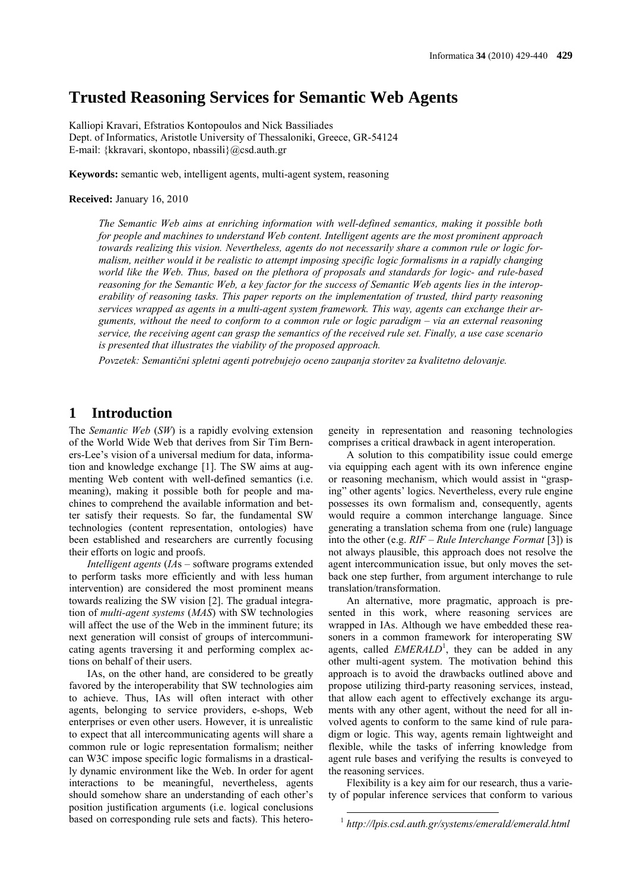## **Trusted Reasoning Services for Semantic Web Agents**

Kalliopi Kravari, Efstratios Kontopoulos and Nick Bassiliades Dept. of Informatics, Aristotle University of Thessaloniki, Greece, GR-54124 E-mail: {kkravari, skontopo, nbassili}@csd.auth.gr

**Keywords:** semantic web, intelligent agents, multi-agent system, reasoning

**Received:** January 16, 2010

*The Semantic Web aims at enriching information with well-defined semantics, making it possible both for people and machines to understand Web content. Intelligent agents are the most prominent approach towards realizing this vision. Nevertheless, agents do not necessarily share a common rule or logic formalism, neither would it be realistic to attempt imposing specific logic formalisms in a rapidly changing world like the Web. Thus, based on the plethora of proposals and standards for logic- and rule-based reasoning for the Semantic Web, a key factor for the success of Semantic Web agents lies in the interoperability of reasoning tasks. This paper reports on the implementation of trusted, third party reasoning services wrapped as agents in a multi-agent system framework. This way, agents can exchange their arguments, without the need to conform to a common rule or logic paradigm – via an external reasoning service, the receiving agent can grasp the semantics of the received rule set. Finally, a use case scenario is presented that illustrates the viability of the proposed approach.*

*Povzetek: Semantični spletni agenti potrebujejo oceno zaupanja storitev za kvalitetno delovanje.*

## **1 Introduction**

The *Semantic Web* (*SW*) is a rapidly evolving extension of the World Wide Web that derives from Sir Tim Berners-Lee's vision of a universal medium for data, information and knowledge exchange [1]. The SW aims at augmenting Web content with well-defined semantics (i.e. meaning), making it possible both for people and machines to comprehend the available information and better satisfy their requests. So far, the fundamental SW technologies (content representation, ontologies) have been established and researchers are currently focusing their efforts on logic and proofs.

*Intelligent agents* (*IA*s – software programs extended to perform tasks more efficiently and with less human intervention) are considered the most prominent means towards realizing the SW vision [2]. The gradual integration of *multi-agent systems* (*MAS*) with SW technologies will affect the use of the Web in the imminent future; its next generation will consist of groups of intercommunicating agents traversing it and performing complex actions on behalf of their users.

IAs, on the other hand, are considered to be greatly favored by the interoperability that SW technologies aim to achieve. Thus, IAs will often interact with other agents, belonging to service providers, e-shops, Web enterprises or even other users. However, it is unrealistic to expect that all intercommunicating agents will share a common rule or logic representation formalism; neither can W3C impose specific logic formalisms in a drastically dynamic environment like the Web. In order for agent interactions to be meaningful, nevertheless, agents should somehow share an understanding of each other's position justification arguments (i.e. logical conclusions based on corresponding rule sets and facts). This heterogeneity in representation and reasoning technologies comprises a critical drawback in agent interoperation.

A solution to this compatibility issue could emerge via equipping each agent with its own inference engine or reasoning mechanism, which would assist in "grasping" other agents' logics. Nevertheless, every rule engine possesses its own formalism and, consequently, agents would require a common interchange language. Since generating a translation schema from one (rule) language into the other (e.g. *RIF* – *Rule Interchange Format* [3]) is not always plausible, this approach does not resolve the agent intercommunication issue, but only moves the setback one step further, from argument interchange to rule translation/transformation.

An alternative, more pragmatic, approach is presented in this work, where reasoning services are wrapped in IAs. Although we have embedded these reasoners in a common framework for interoperating SW agents, called *EMERALD*<sup>1</sup>, they can be added in any other multi-agent system. The motivation behind this approach is to avoid the drawbacks outlined above and propose utilizing third-party reasoning services, instead, that allow each agent to effectively exchange its arguments with any other agent, without the need for all involved agents to conform to the same kind of rule paradigm or logic. This way, agents remain lightweight and flexible, while the tasks of inferring knowledge from agent rule bases and verifying the results is conveyed to the reasoning services.

Flexibility is a key aim for our research, thus a variety of popular inference services that conform to various

1

<sup>1</sup> *http://lpis.csd.auth.gr/systems/emerald/emerald.html*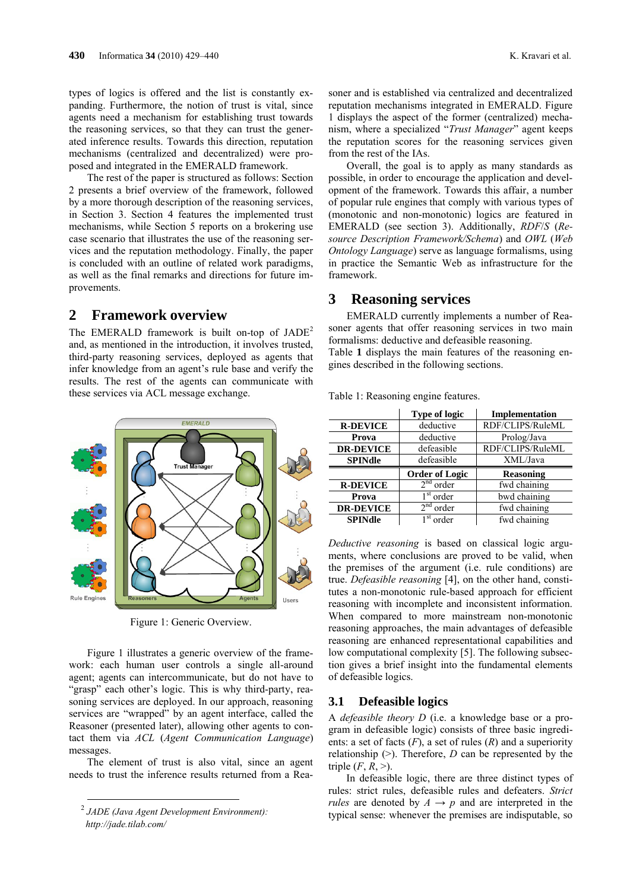types of logics is offered and the list is constantly expanding. Furthermore, the notion of trust is vital, since agents need a mechanism for establishing trust towards the reasoning services, so that they can trust the generated inference results. Towards this direction, reputation mechanisms (centralized and decentralized) were proposed and integrated in the EMERALD framework.

The rest of the paper is structured as follows: Section 2 presents a brief overview of the framework, followed by a more thorough description of the reasoning services, in Section 3. Section 4 features the implemented trust mechanisms, while Section 5 reports on a brokering use case scenario that illustrates the use of the reasoning services and the reputation methodology. Finally, the paper is concluded with an outline of related work paradigms, as well as the final remarks and directions for future improvements.

## **2 Framework overview**

The EMERALD framework is built on-top of  $JADE<sup>2</sup>$ and, as mentioned in the introduction, it involves trusted, third-party reasoning services, deployed as agents that infer knowledge from an agent's rule base and verify the results. The rest of the agents can communicate with these services via ACL message exchange.



Figure 1: Generic Overview.

Figure 1 illustrates a generic overview of the framework: each human user controls a single all-around agent; agents can intercommunicate, but do not have to "grasp" each other's logic. This is why third-party, reasoning services are deployed. In our approach, reasoning services are "wrapped" by an agent interface, called the Reasoner (presented later), allowing other agents to contact them via *ACL* (*Agent Communication Language*) messages.

The element of trust is also vital, since an agent needs to trust the inference results returned from a Rea-

l

soner and is established via centralized and decentralized reputation mechanisms integrated in EMERALD. Figure 1 displays the aspect of the former (centralized) mechanism, where a specialized "*Trust Manager*" agent keeps the reputation scores for the reasoning services given from the rest of the IAs.

Overall, the goal is to apply as many standards as possible, in order to encourage the application and development of the framework. Towards this affair, a number of popular rule engines that comply with various types of (monotonic and non-monotonic) logics are featured in EMERALD (see section 3). Additionally, *RDF*/*S* (*Resource Description Framework/Schema*) and *OWL* (*Web Ontology Language*) serve as language formalisms, using in practice the Semantic Web as infrastructure for the framework.

## **3 Reasoning services**

EMERALD currently implements a number of Reasoner agents that offer reasoning services in two main formalisms: deductive and defeasible reasoning. Table **1** displays the main features of the reasoning engines described in the following sections.

|                  | <b>Type of logic</b>  | Implementation   |
|------------------|-----------------------|------------------|
| <b>R-DEVICE</b>  | deductive             | RDF/CLIPS/RuleML |
| Prova            | deductive             | Prolog/Java      |
| <b>DR-DEVICE</b> | defeasible            | RDF/CLIPS/RuleML |
| <b>SPINdle</b>   | defeasible            | XML/Java         |
|                  |                       |                  |
|                  | <b>Order of Logic</b> | <b>Reasoning</b> |
| <b>R-DEVICE</b>  | $2nd$ order           | fwd chaining     |
| Prova            | $1st$ order           | bwd chaining     |
| <b>DR-DEVICE</b> | 2 <sup>nd</sup> order | fwd chaining     |

Table 1: Reasoning engine features.

*Deductive reasoning* is based on classical logic arguments, where conclusions are proved to be valid, when the premises of the argument (i.e. rule conditions) are true. *Defeasible reasoning* [4], on the other hand, constitutes a non-monotonic rule-based approach for efficient reasoning with incomplete and inconsistent information. When compared to more mainstream non-monotonic reasoning approaches, the main advantages of defeasible reasoning are enhanced representational capabilities and low computational complexity [5]. The following subsection gives a brief insight into the fundamental elements of defeasible logics.

#### **3.1 Defeasible logics**

A *defeasible theory D* (i.e. a knowledge base or a program in defeasible logic) consists of three basic ingredients: a set of facts (*F*), a set of rules (*R*) and a superiority relationship  $(>)$ . Therefore, *D* can be represented by the triple  $(F, R, >)$ .

In defeasible logic, there are three distinct types of rules: strict rules, defeasible rules and defeaters. *Strict rules* are denoted by  $A \rightarrow p$  and are interpreted in the typical sense: whenever the premises are indisputable, so

<sup>2</sup> *JADE (Java Agent Development Environment):* 

*http://jade.tilab.com/*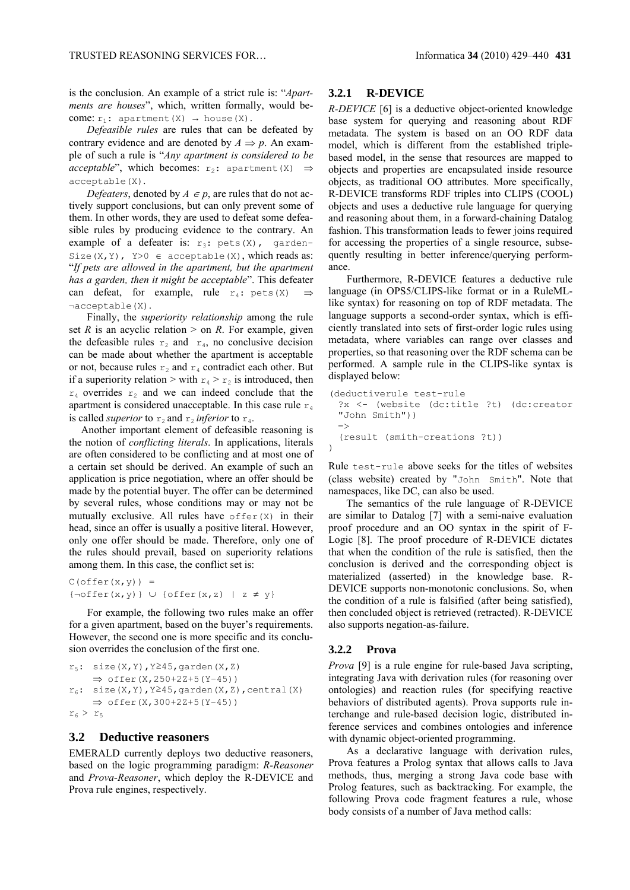is the conclusion. An example of a strict rule is: "*Apartments are houses*", which, written formally, would become:  $r_1$ : apartment(X)  $\rightarrow$  house(X).

*Defeasible rules* are rules that can be defeated by contrary evidence and are denoted by  $A \Rightarrow p$ . An example of such a rule is "*Any apartment is considered to be acceptable*", which becomes:  $r_2$ : apartment(X)  $\Rightarrow$ acceptable(X).

*Defeaters*, denoted by  $A \in p$ , are rules that do not actively support conclusions, but can only prevent some of them. In other words, they are used to defeat some defeasible rules by producing evidence to the contrary. An example of a defeater is:  $r_3$ : pets(X), garden-Size(X, Y), Y>0  $\in$  acceptable(X), which reads as: "*If pets are allowed in the apartment, but the apartment has a garden, then it might be acceptable*". This defeater can defeat, for example, rule  $r_4$ : pets(X)  $\Rightarrow$ ¬acceptable(X).

Finally, the *superiority relationship* among the rule set *R* is an acyclic relation  $>$  on *R*. For example, given the defeasible rules  $r_2$  and  $r_4$ , no conclusive decision can be made about whether the apartment is acceptable or not, because rules  $r_2$  and  $r_4$  contradict each other. But if a superiority relation > with  $r_4 > r_2$  is introduced, then  $r_4$  overrides  $r_2$  and we can indeed conclude that the apartment is considered unacceptable. In this case rule  $r_4$ is called *superior* to  $r_2$  and  $r_2$  *inferior* to  $r_4$ .

Another important element of defeasible reasoning is the notion of *conflicting literals*. In applications, literals are often considered to be conflicting and at most one of a certain set should be derived. An example of such an application is price negotiation, where an offer should be made by the potential buyer. The offer can be determined by several rules, whose conditions may or may not be mutually exclusive. All rules have  $offer(X)$  in their head, since an offer is usually a positive literal. However, only one offer should be made. Therefore, only one of the rules should prevail, based on superiority relations among them. In this case, the conflict set is:

 $C$ (offer $(x, y)$ ) =  ${\neg \text{offer}(x, y)} \cup {\text{offer}(x, z)} \mid z \neq y$ 

For example, the following two rules make an offer for a given apartment, based on the buyer's requirements. However, the second one is more specific and its conclusion overrides the conclusion of the first one.

```
r_5: size(X, Y), Y245, garden(X, Z)
     offer(X,250+2Z+5(Y−45))
r_6: size(X,Y), Y245, garden(X,Z), central(X)
     offer(X,300+2Z+5(Y−45))
r_6 > r_5
```
### **3.2 Deductive reasoners**

EMERALD currently deploys two deductive reasoners, based on the logic programming paradigm: *R-Reasoner* and *Prova-Reasoner*, which deploy the R-DEVICE and Prova rule engines, respectively.

#### **3.2.1 R-DEVICE**

*R-DEVICE* [6] is a deductive object-oriented knowledge base system for querying and reasoning about RDF metadata. The system is based on an OO RDF data model, which is different from the established triplebased model, in the sense that resources are mapped to objects and properties are encapsulated inside resource objects, as traditional OO attributes. More specifically, R-DEVICE transforms RDF triples into CLIPS (COOL) objects and uses a deductive rule language for querying and reasoning about them, in a forward-chaining Datalog fashion. This transformation leads to fewer joins required for accessing the properties of a single resource, subsequently resulting in better inference/querying performance.

Furthermore, R-DEVICE features a deductive rule language (in OPS5/CLIPS-like format or in a RuleMLlike syntax) for reasoning on top of RDF metadata. The language supports a second-order syntax, which is efficiently translated into sets of first-order logic rules using metadata, where variables can range over classes and properties, so that reasoning over the RDF schema can be performed. A sample rule in the CLIPS-like syntax is displayed below:

```
(deductiverule test-rule
  ?x <- (website (dc:title ?t) (dc:creator 
  "John Smith"))
 \rightarrow(result (smith-creations ?t))
)
```
Rule test-rule above seeks for the titles of websites (class website) created by "John Smith". Note that namespaces, like DC, can also be used.

The semantics of the rule language of R-DEVICE are similar to Datalog [7] with a semi-naive evaluation proof procedure and an OO syntax in the spirit of F-Logic [8]. The proof procedure of R-DEVICE dictates that when the condition of the rule is satisfied, then the conclusion is derived and the corresponding object is materialized (asserted) in the knowledge base. R-DEVICE supports non-monotonic conclusions. So, when the condition of a rule is falsified (after being satisfied), then concluded object is retrieved (retracted). R-DEVICE also supports negation-as-failure.

#### **3.2.2 Prova**

*Prova* [9] is a rule engine for rule-based Java scripting, integrating Java with derivation rules (for reasoning over ontologies) and reaction rules (for specifying reactive behaviors of distributed agents). Prova supports rule interchange and rule-based decision logic, distributed inference services and combines ontologies and inference with dynamic object-oriented programming.

As a declarative language with derivation rules, Prova features a Prolog syntax that allows calls to Java methods, thus, merging a strong Java code base with Prolog features, such as backtracking. For example, the following Prova code fragment features a rule, whose body consists of a number of Java method calls: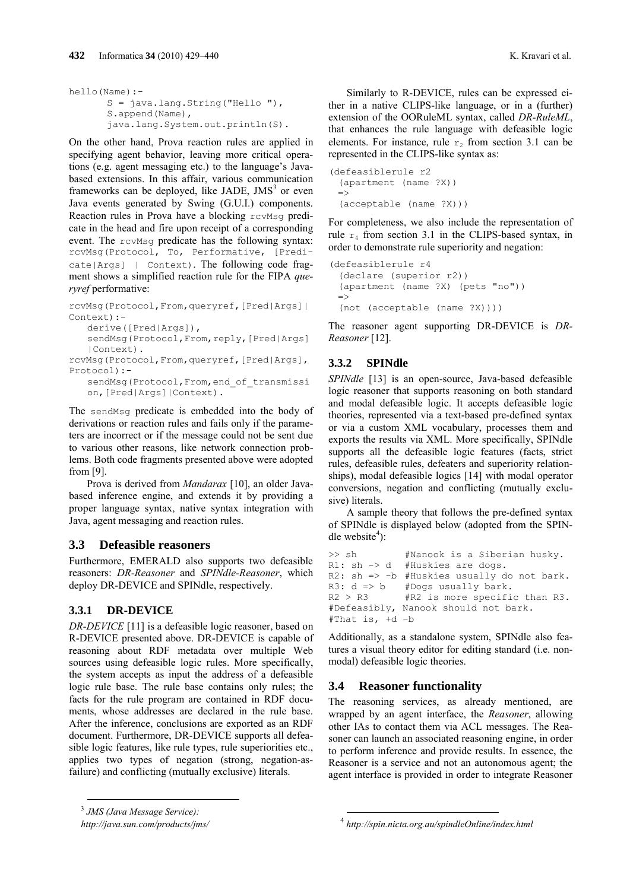```
hello(Name):-
       S = java.lang.String("Hello "),
       S.append(Name),
       java.lang.System.out.println(S).
```
On the other hand, Prova reaction rules are applied in specifying agent behavior, leaving more critical operations (e.g. agent messaging etc.) to the language's Javabased extensions. In this affair, various communication frameworks can be deployed, like JADE,  $JMS<sup>3</sup>$  or even Java events generated by Swing (G.U.I.) components. Reaction rules in Prova have a blocking revMsq predicate in the head and fire upon receipt of a corresponding event. The rcvMsq predicate has the following syntax: rcvMsg(Protocol, To, Performative, [Predicate|Args] | Context). The following code fragment shows a simplified reaction rule for the FIPA *queryref* performative:

```
rcvMsg(Protocol,From,queryref,[Pred|Args]|
Context):-
   derive([Pred|Args]),
   sendMsg(Protocol, From, reply, [Pred|Args]
```
|Context). rcvMsg(Protocol,From,queryref,[Pred|Args], Protocol):-

sendMsg(Protocol, From, end of transmissi on,[Pred|Args]|Context).

The sendMsg predicate is embedded into the body of derivations or reaction rules and fails only if the parameters are incorrect or if the message could not be sent due to various other reasons, like network connection problems. Both code fragments presented above were adopted from [9].

Prova is derived from *Mandarax* [10], an older Javabased inference engine, and extends it by providing a proper language syntax, native syntax integration with Java, agent messaging and reaction rules.

## **3.3 Defeasible reasoners**

Furthermore, EMERALD also supports two defeasible reasoners: *DR-Reasoner* and *SPINdle-Reasoner*, which deploy DR-DEVICE and SPINdle, respectively.

## **3.3.1 DR-DEVICE**

*DR-DEVICE* [11] is a defeasible logic reasoner, based on R-DEVICE presented above. DR-DEVICE is capable of reasoning about RDF metadata over multiple Web sources using defeasible logic rules. More specifically, the system accepts as input the address of a defeasible logic rule base. The rule base contains only rules; the facts for the rule program are contained in RDF documents, whose addresses are declared in the rule base. After the inference, conclusions are exported as an RDF document. Furthermore, DR-DEVICE supports all defeasible logic features, like rule types, rule superiorities etc., applies two types of negation (strong, negation-asfailure) and conflicting (mutually exclusive) literals.

Similarly to R-DEVICE, rules can be expressed either in a native CLIPS-like language, or in a (further) extension of the OORuleML syntax, called *DR-RuleML*, that enhances the rule language with defeasible logic elements. For instance, rule  $r<sub>2</sub>$  from section 3.1 can be represented in the CLIPS-like syntax as:

```
(defeasiblerule r2
 (apartment (name ?X))
 \Rightarrow(acceptable (name ?X)))
```
For completeness, we also include the representation of rule  $r_4$  from section 3.1 in the CLIPS-based syntax, in order to demonstrate rule superiority and negation:

```
(defeasiblerule r4 
  (declare (superior r2))
  (apartment (name ?X) (pets "no"))
 \Rightarrow(not (acceptable (name ?X))))
```
The reasoner agent supporting DR-DEVICE is *DR-Reasoner* [12].

## **3.3.2 SPINdle**

*SPINdle* [13] is an open-source, Java-based defeasible logic reasoner that supports reasoning on both standard and modal defeasible logic. It accepts defeasible logic theories, represented via a text-based pre-defined syntax or via a custom XML vocabulary, processes them and exports the results via XML. More specifically, SPINdle supports all the defeasible logic features (facts, strict rules, defeasible rules, defeaters and superiority relationships), modal defeasible logics [14] with modal operator conversions, negation and conflicting (mutually exclusive) literals.

A sample theory that follows the pre-defined syntax of SPINdle is displayed below (adopted from the SPINdle website<sup>4</sup>):

```
>> sh #Nanook is a Siberian husky.
R1: sh -> d #Huskies are dogs.
R2: sh => -b #Huskies usually do not bark.
R3: d \Rightarrow b #Dogs usually bark.<br>R2 > R3 #R2 is more specifi
               #R2 is more specific than R3.
#Defeasibly, Nanook should not bark.
#That is, +d –b
```
Additionally, as a standalone system, SPINdle also features a visual theory editor for editing standard (i.e. nonmodal) defeasible logic theories.

## **3.4 Reasoner functionality**

1

The reasoning services, as already mentioned, are wrapped by an agent interface, the *Reasoner*, allowing other IAs to contact them via ACL messages. The Reasoner can launch an associated reasoning engine, in order to perform inference and provide results. In essence, the Reasoner is a service and not an autonomous agent; the agent interface is provided in order to integrate Reasoner

l

<sup>3</sup> *JMS (Java Message Service):* 

*http://java.sun.com/products/jms/*

<sup>4</sup> *http://spin.nicta.org.au/spindleOnline/index.html*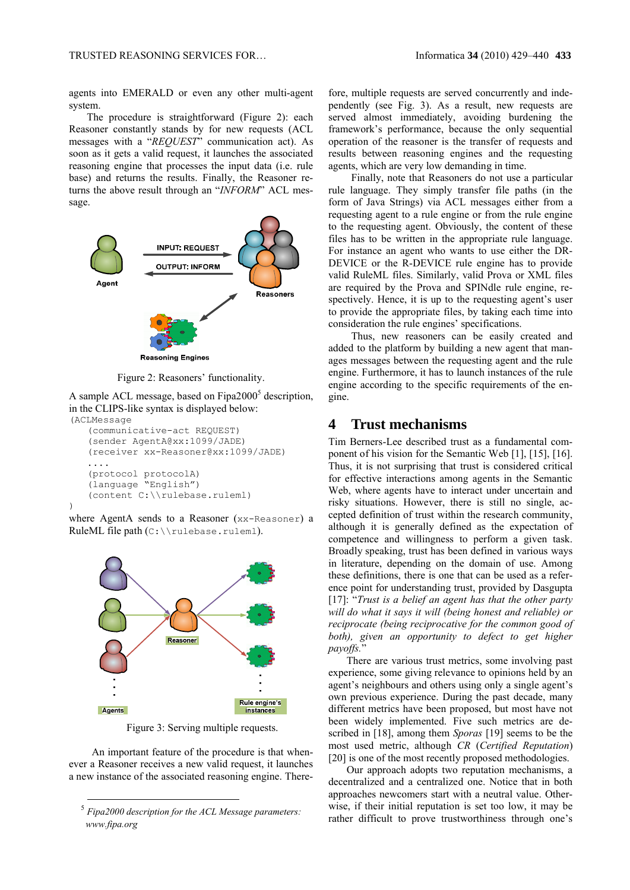agents into EMERALD or even any other multi-agent system.

The procedure is straightforward (Figure 2): each Reasoner constantly stands by for new requests (ACL messages with a "*REQUEST*" communication act). As soon as it gets a valid request, it launches the associated reasoning engine that processes the input data (i.e. rule base) and returns the results. Finally, the Reasoner returns the above result through an "*INFORM*" ACL message.



Figure 2: Reasoners' functionality.

A sample ACL message, based on Fipa2000<sup>5</sup> description, in the CLIPS-like syntax is displayed below: (ACLMessage

```
(communicative-act REQUEST)
(sender AgentA@xx:1099/JADE) 
(receiver xx-Reasoner@xx:1099/JADE) 
....
(protocol protocolA) 
(language "English")
(content C:\\rulebase.ruleml)
```


)

l



Figure 3: Serving multiple requests.

An important feature of the procedure is that whenever a Reasoner receives a new valid request, it launches a new instance of the associated reasoning engine. Therefore, multiple requests are served concurrently and independently (see Fig. 3). As a result, new requests are served almost immediately, avoiding burdening the framework's performance, because the only sequential operation of the reasoner is the transfer of requests and results between reasoning engines and the requesting agents, which are very low demanding in time.

Finally, note that Reasoners do not use a particular rule language. They simply transfer file paths (in the form of Java Strings) via ACL messages either from a requesting agent to a rule engine or from the rule engine to the requesting agent. Obviously, the content of these files has to be written in the appropriate rule language. For instance an agent who wants to use either the DR-DEVICE or the R-DEVICE rule engine has to provide valid RuleML files. Similarly, valid Prova or XML files are required by the Prova and SPINdle rule engine, respectively. Hence, it is up to the requesting agent's user to provide the appropriate files, by taking each time into consideration the rule engines' specifications.

Thus, new reasoners can be easily created and added to the platform by building a new agent that manages messages between the requesting agent and the rule engine. Furthermore, it has to launch instances of the rule engine according to the specific requirements of the engine.

## **4 Trust mechanisms**

Tim Berners-Lee described trust as a fundamental component of his vision for the Semantic Web [1], [15], [16]. Thus, it is not surprising that trust is considered critical for effective interactions among agents in the Semantic Web, where agents have to interact under uncertain and risky situations. However, there is still no single, accepted definition of trust within the research community, although it is generally defined as the expectation of competence and willingness to perform a given task. Broadly speaking, trust has been defined in various ways in literature, depending on the domain of use. Among these definitions, there is one that can be used as a reference point for understanding trust, provided by Dasgupta [17]: "*Trust is a belief an agent has that the other party will do what it says it will (being honest and reliable) or reciprocate (being reciprocative for the common good of both), given an opportunity to defect to get higher payoffs.*"

There are various trust metrics, some involving past experience, some giving relevance to opinions held by an agent's neighbours and others using only a single agent's own previous experience. During the past decade, many different metrics have been proposed, but most have not been widely implemented. Five such metrics are described in [18], among them *Sporas* [19] seems to be the most used metric, although *CR* (*Certified Reputation*) [20] is one of the most recently proposed methodologies.

Our approach adopts two reputation mechanisms, a decentralized and a centralized one. Notice that in both approaches newcomers start with a neutral value. Otherwise, if their initial reputation is set too low, it may be rather difficult to prove trustworthiness through one's

<sup>5</sup> *Fipa2000 description for the ACL Message parameters: www.fipa.org*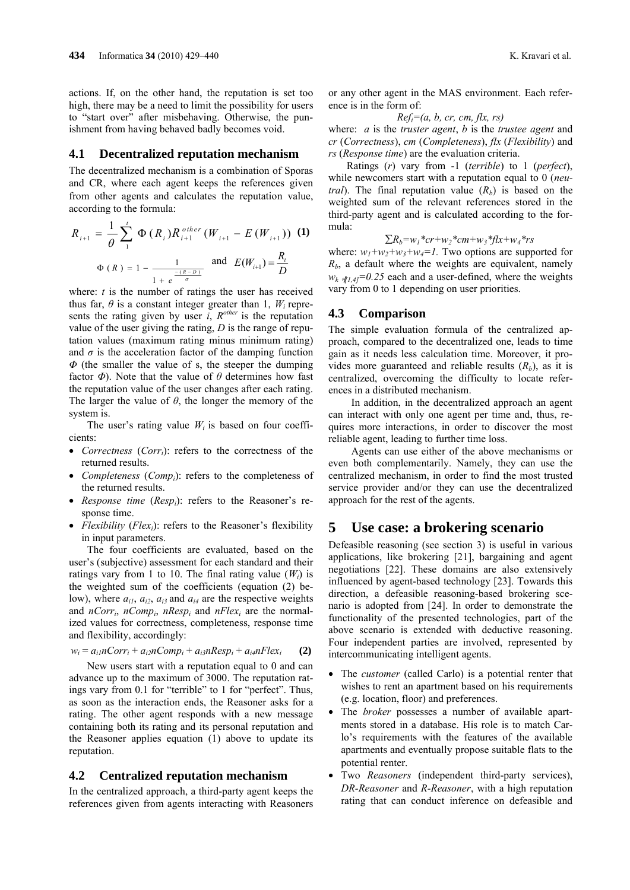actions. If, on the other hand, the reputation is set too high, there may be a need to limit the possibility for users to "start over" after misbehaving. Otherwise, the punishment from having behaved badly becomes void.

#### **4.1 Decentralized reputation mechanism**

The decentralized mechanism is a combination of Sporas and CR, where each agent keeps the references given from other agents and calculates the reputation value, according to the formula:

$$
R_{i+1} = \frac{1}{\theta} \sum_{1}^{t} \Phi(R_i) R_{i+1}^{other} (W_{i+1} - E(W_{i+1}))
$$
 (1)  

$$
\Phi(R) = 1 - \frac{1}{1 + e^{\frac{-(R-D)}{\sigma}}}
$$
 and 
$$
E(W_{i+1}) = \frac{R_i}{D}
$$

where: *t* is the number of ratings the user has received thus far,  $\theta$  is a constant integer greater than 1,  $W_i$  represents the rating given by user  $i$ ,  $R^{other}$  is the reputation value of the user giving the rating, *D* is the range of reputation values (maximum rating minus minimum rating) and  $\sigma$  is the acceleration factor of the damping function *Φ* (the smaller the value of s, the steeper the dumping factor  $\Phi$ ). Note that the value of  $\theta$  determines how fast the reputation value of the user changes after each rating. The larger the value of *θ*, the longer the memory of the system is.

The user's rating value  $W_i$  is based on four coefficients:

- *Correctness* (*Corri*): refers to the correctness of the returned results.
- *Completeness* (*Compi*): refers to the completeness of the returned results.
- *Response time* (*Respi*): refers to the Reasoner's response time.
- *Flexibility* (*Flexi*): refers to the Reasoner's flexibility in input parameters.

The four coefficients are evaluated, based on the user's (subjective) assessment for each standard and their ratings vary from 1 to 10. The final rating value  $(W_i)$  is the weighted sum of the coefficients (equation (2) below), where  $a_{i1}$ ,  $a_{i2}$ ,  $a_{i3}$  and  $a_{i4}$  are the respective weights and  $nCorr_i$ ,  $nComp_i$ ,  $nResp_i$  and  $nFlex_i$  are the normalized values for correctness, completeness, response time and flexibility, accordingly:

$$
w_i = a_{i1}nCorr_i + a_{i2}nComp_i + a_{i3}nResp_i + a_{i4}nFlex_i
$$
 (2)

New users start with a reputation equal to 0 and can advance up to the maximum of 3000. The reputation ratings vary from 0.1 for "terrible" to 1 for "perfect". Thus, as soon as the interaction ends, the Reasoner asks for a rating. The other agent responds with a new message containing both its rating and its personal reputation and the Reasoner applies equation (1) above to update its reputation.

#### **4.2 Centralized reputation mechanism**

In the centralized approach, a third-party agent keeps the references given from agents interacting with Reasoners

or any other agent in the MAS environment. Each reference is in the form of:

*Refi=(a, b, cr, cm, flx, rs)*

where: *a* is the *truster agent*, *b* is the *trustee agent* and *cr* (*Correctness*), *cm* (*Completeness*), *flx* (*Flexibility*) and *rs* (*Response time*) are the evaluation criteria.

Ratings (*r*) vary from -1 (*terrible*) to 1 (*perfect*), while newcomers start with a reputation equal to 0 (*neutral*). The final reputation value  $(R_b)$  is based on the weighted sum of the relevant references stored in the third-party agent and is calculated according to the formula:

 $\sum R_b = w_l * c_r + w_r * c_m + w_s * f l x + w_d * r s$ 

where:  $w_1 + w_2 + w_3 + w_4 = 1$ . Two options are supported for  $R_b$ , a default where the weights are equivalent, namely  $w_k$   $\sqrt{sT_1A_1}=0.25$  each and a user-defined, where the weights vary from 0 to 1 depending on user priorities.

#### **4.3 Comparison**

The simple evaluation formula of the centralized approach, compared to the decentralized one, leads to time gain as it needs less calculation time. Moreover, it provides more guaranteed and reliable results  $(R_h)$ , as it is centralized, overcoming the difficulty to locate references in a distributed mechanism.

In addition, in the decentralized approach an agent can interact with only one agent per time and, thus, requires more interactions, in order to discover the most reliable agent, leading to further time loss.

Agents can use either of the above mechanisms or even both complementarily. Namely, they can use the centralized mechanism, in order to find the most trusted service provider and/or they can use the decentralized approach for the rest of the agents.

## **5 Use case: a brokering scenario**

Defeasible reasoning (see section 3) is useful in various applications, like brokering [21], bargaining and agent negotiations [22]. These domains are also extensively influenced by agent-based technology [23]. Towards this direction, a defeasible reasoning-based brokering scenario is adopted from [24]. In order to demonstrate the functionality of the presented technologies, part of the above scenario is extended with deductive reasoning. Four independent parties are involved, represented by intercommunicating intelligent agents.

- The *customer* (called Carlo) is a potential renter that wishes to rent an apartment based on his requirements (e.g. location, floor) and preferences.
- The *broker* possesses a number of available apartments stored in a database. His role is to match Carlo's requirements with the features of the available apartments and eventually propose suitable flats to the potential renter.
- Two *Reasoners* (independent third-party services), *DR-Reasoner* and *R-Reasoner*, with a high reputation rating that can conduct inference on defeasible and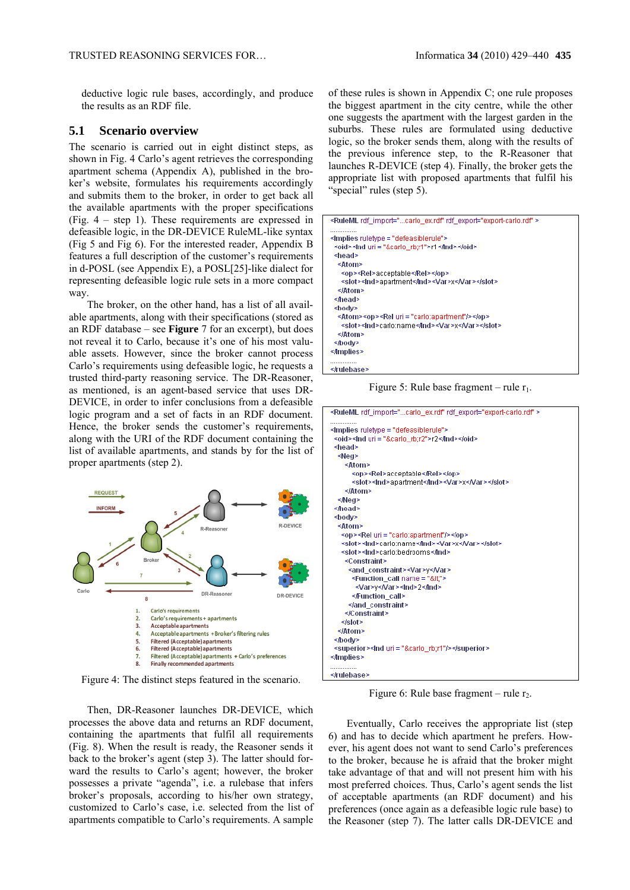deductive logic rule bases, accordingly, and produce the results as an RDF file.

#### **5.1 Scenario overview**

The scenario is carried out in eight distinct steps, as shown in Fig. 4 Carlo's agent retrieves the corresponding apartment schema (Appendix A), published in the broker's website, formulates his requirements accordingly and submits them to the broker, in order to get back all the available apartments with the proper specifications (Fig. 4 – step 1). These requirements are expressed in defeasible logic, in the DR-DEVICE RuleML-like syntax (Fig 5 and Fig 6). For the interested reader, Appendix B features a full description of the customer's requirements in d-POSL (see Appendix E), a POSL[25]-like dialect for representing defeasible logic rule sets in a more compact way.

The broker, on the other hand, has a list of all available apartments, along with their specifications (stored as an RDF database – see **Figure** 7 for an excerpt), but does not reveal it to Carlo, because it's one of his most valuable assets. However, since the broker cannot process Carlo's requirements using defeasible logic, he requests a trusted third-party reasoning service. The DR-Reasoner, as mentioned, is an agent-based service that uses DR-DEVICE, in order to infer conclusions from a defeasible logic program and a set of facts in an RDF document. Hence, the broker sends the customer's requirements, along with the URI of the RDF document containing the list of available apartments, and stands by for the list of proper apartments (step 2).



Figure 4: The distinct steps featured in the scenario.

Then, DR-Reasoner launches DR-DEVICE, which processes the above data and returns an RDF document, containing the apartments that fulfil all requirements (Fig. 8). When the result is ready, the Reasoner sends it back to the broker's agent (step 3). The latter should forward the results to Carlo's agent; however, the broker possesses a private "agenda", i.e. a rulebase that infers broker's proposals, according to his/her own strategy, customized to Carlo's case, i.e. selected from the list of apartments compatible to Carlo's requirements. A sample of these rules is shown in Appendix C; one rule proposes the biggest apartment in the city centre, while the other one suggests the apartment with the largest garden in the suburbs. These rules are formulated using deductive logic, so the broker sends them, along with the results of the previous inference step, to the R-Reasoner that launches R-DEVICE (step 4). Finally, the broker gets the appropriate list with proposed apartments that fulfil his "special" rules (step 5).

| <ruleml rdf_export="export-carlo.rdf" rdf_import="carlo_ex.rdf"></ruleml> |
|---------------------------------------------------------------------------|
|                                                                           |
| <oid><lnd uri="&amp;carlo_rb;r1">r1</lnd></oid>                           |
| ≺head>                                                                    |
| ≺Atom>                                                                    |
| <op><rel>acceptable</rel></op>                                            |
| <slot><lnd>apartment</lnd><var>x</var></slot>                             |
| ≺/Atom>                                                                   |
| ≺⁄head>                                                                   |
| ≺bod∨>                                                                    |
| <atom><op><rel uri="carlo:apartment"></rel></op></atom>                   |
| <slot><lnd>cario:name</lnd><var>x</var></slot>                            |
| ≺/Atom>                                                                   |
| ≤⁄bodv>                                                                   |
| <∄mplies                                                                  |
| .<br>                                                                     |

Figure 5: Rule base fragment – rule  $r_1$ .

| <ruleml rdf_export="export-carlo.rdf" rdf_import="carlo_ex.rdf"></ruleml> |
|---------------------------------------------------------------------------|
|                                                                           |
| <oid><lnd uri="&amp;carlo_rb;r2">r2</lnd></oid>                           |
| ≺head>                                                                    |
| ≺Neg>                                                                     |
| ≺Atom>                                                                    |
| <op><rel>acceptable</rel></op>                                            |
| <slot><lnd>apartment</lnd><var>x</var></slot>                             |
|                                                                           |
| ≺Neg>                                                                     |
|                                                                           |
| <body></body>                                                             |
| ≺Atom>                                                                    |
| <op><rel uri="carlo:apartment"></rel></op>                                |
| <slot><lnd>carlo:name</lnd><var>x</var></slot>                            |
| <slot><lnd>carlo:bedrooms</lnd></slot>                                    |
| <constraint></constraint>                                                 |
| <and constraint=""><var>y</var></and>                                     |
| <function_call name="&lt;"></function_call>                               |
| <var>y</var> <lnd>2</lnd>                                                 |
|                                                                           |
|                                                                           |
|                                                                           |
|                                                                           |
|                                                                           |
| ≺⁄bodv>                                                                   |
| <superior><lnd uri="&amp;carlo_rb;r1"></lnd></superior>                   |
| <∄mplies>                                                                 |
| ≼írulebase≽                                                               |

Figure 6: Rule base fragment – rule  $r_2$ .

Eventually, Carlo receives the appropriate list (step 6) and has to decide which apartment he prefers. However, his agent does not want to send Carlo's preferences to the broker, because he is afraid that the broker might take advantage of that and will not present him with his most preferred choices. Thus, Carlo's agent sends the list of acceptable apartments (an RDF document) and his preferences (once again as a defeasible logic rule base) to the Reasoner (step 7). The latter calls DR-DEVICE and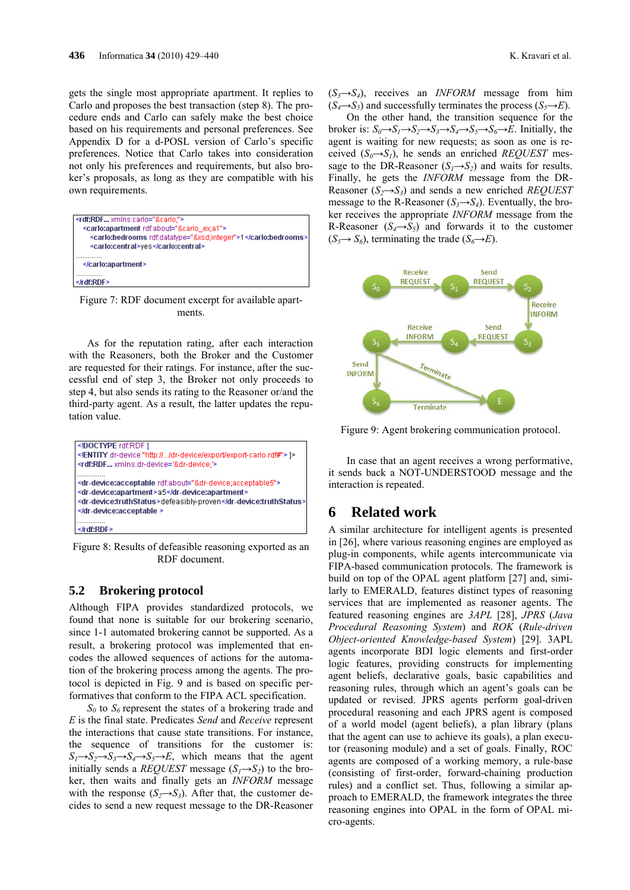gets the single most appropriate apartment. It replies to Carlo and proposes the best transaction (step 8). The procedure ends and Carlo can safely make the best choice based on his requirements and personal preferences. See Appendix D for a d-POSL version of Carlo's specific preferences. Notice that Carlo takes into consideration not only his preferences and requirements, but also broker's proposals, as long as they are compatible with his own requirements.



Figure 7: RDF document excerpt for available apartments.

As for the reputation rating, after each interaction with the Reasoners, both the Broker and the Customer are requested for their ratings. For instance, after the successful end of step 3, the Broker not only proceeds to step 4, but also sends its rating to the Reasoner or/and the third-party agent. As a result, the latter updates the reputation value.



Figure 8: Results of defeasible reasoning exported as an RDF document.

#### **5.2 Brokering protocol**

Although FIPA provides standardized protocols, we found that none is suitable for our brokering scenario, since 1-1 automated brokering cannot be supported. As a result, a brokering protocol was implemented that encodes the allowed sequences of actions for the automation of the brokering process among the agents. The protocol is depicted in Fig. 9 and is based on specific performatives that conform to the FIPA ACL specification.

 $S_0$  to  $S_6$  represent the states of a brokering trade and *E* is the final state. Predicates *Send* and *Receive* represent the interactions that cause state transitions. For instance, the sequence of transitions for the customer is:  $S_1 \rightarrow S_2 \rightarrow S_3 \rightarrow S_4 \rightarrow S_5 \rightarrow E$ , which means that the agent initially sends a *REQUEST* message  $(S_1 \rightarrow S_2)$  to the broker, then waits and finally gets an *INFORM* message with the response  $(S_2 \rightarrow S_3)$ . After that, the customer decides to send a new request message to the DR-Reasoner

 $(S_3 \rightarrow S_4)$ , receives an *INFORM* message from him  $(S_4 \rightarrow S_5)$  and successfully terminates the process  $(S_5 \rightarrow E)$ .

On the other hand, the transition sequence for the broker is:  $S_0 \rightarrow S_1 \rightarrow S_2 \rightarrow S_3 \rightarrow S_4 \rightarrow S_5 \rightarrow S_6 \rightarrow E$ . Initially, the agent is waiting for new requests; as soon as one is received  $(S_0 \rightarrow S_1)$ , he sends an enriched *REQUEST* message to the DR-Reasoner  $(S_1 \rightarrow S_2)$  and waits for results. Finally, he gets the *INFORM* message from the DR-Reasoner  $(S_2 \rightarrow S_3)$  and sends a new enriched *REQUEST* message to the R-Reasoner  $(S_3 \rightarrow S_4)$ . Eventually, the broker receives the appropriate *INFORM* message from the R-Reasoner  $(S_4 \rightarrow S_5)$  and forwards it to the customer  $(S_5 \rightarrow S_6)$ , terminating the trade  $(S_6 \rightarrow E)$ .



Figure 9: Agent brokering communication protocol.

In case that an agent receives a wrong performative, it sends back a NOT-UNDERSTOOD message and the interaction is repeated.

## **6 Related work**

A similar architecture for intelligent agents is presented in [26], where various reasoning engines are employed as plug-in components, while agents intercommunicate via FIPA-based communication protocols. The framework is build on top of the OPAL agent platform [27] and, similarly to EMERALD, features distinct types of reasoning services that are implemented as reasoner agents. The featured reasoning engines are *3APL* [28], *JPRS* (*Java Procedural Reasoning System*) and *ROK* (*Rule-driven Object-oriented Knowledge-based System*) [29]. 3APL agents incorporate BDI logic elements and first-order logic features, providing constructs for implementing agent beliefs, declarative goals, basic capabilities and reasoning rules, through which an agent's goals can be updated or revised. JPRS agents perform goal-driven procedural reasoning and each JPRS agent is composed of a world model (agent beliefs), a plan library (plans that the agent can use to achieve its goals), a plan executor (reasoning module) and a set of goals. Finally, ROC agents are composed of a working memory, a rule-base (consisting of first-order, forward-chaining production rules) and a conflict set. Thus, following a similar approach to EMERALD, the framework integrates the three reasoning engines into OPAL in the form of OPAL micro-agents.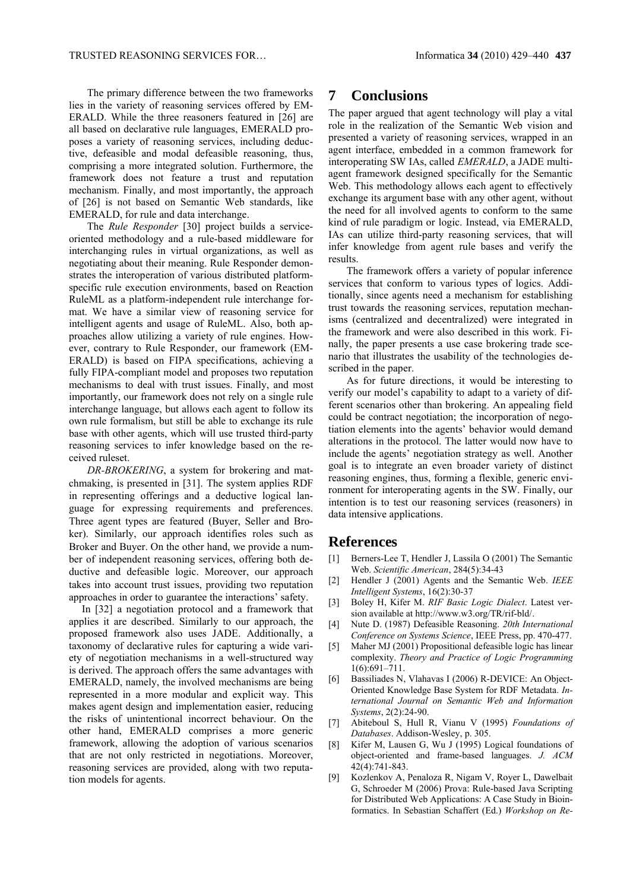The primary difference between the two frameworks lies in the variety of reasoning services offered by EM-ERALD. While the three reasoners featured in [26] are all based on declarative rule languages, EMERALD proposes a variety of reasoning services, including deductive, defeasible and modal defeasible reasoning, thus, comprising a more integrated solution. Furthermore, the framework does not feature a trust and reputation mechanism. Finally, and most importantly, the approach of [26] is not based on Semantic Web standards, like EMERALD, for rule and data interchange.

The *Rule Responder* [30] project builds a serviceoriented methodology and a rule-based middleware for interchanging rules in virtual organizations, as well as negotiating about their meaning. Rule Responder demonstrates the interoperation of various distributed platformspecific rule execution environments, based on Reaction RuleML as a platform-independent rule interchange format. We have a similar view of reasoning service for intelligent agents and usage of RuleML. Also, both approaches allow utilizing a variety of rule engines. However, contrary to Rule Responder, our framework (EM-ERALD) is based on FIPA specifications, achieving a fully FIPA-compliant model and proposes two reputation mechanisms to deal with trust issues. Finally, and most importantly, our framework does not rely on a single rule interchange language, but allows each agent to follow its own rule formalism, but still be able to exchange its rule base with other agents, which will use trusted third-party reasoning services to infer knowledge based on the received ruleset.

*DR-BROKERING*, a system for brokering and matchmaking, is presented in [31]. The system applies RDF in representing offerings and a deductive logical language for expressing requirements and preferences. Three agent types are featured (Buyer, Seller and Broker). Similarly, our approach identifies roles such as Broker and Buyer. On the other hand, we provide a number of independent reasoning services, offering both deductive and defeasible logic. Moreover, our approach takes into account trust issues, providing two reputation approaches in order to guarantee the interactions' safety.

In [32] a negotiation protocol and a framework that applies it are described. Similarly to our approach, the proposed framework also uses JADE. Additionally, a taxonomy of declarative rules for capturing a wide variety of negotiation mechanisms in a well-structured way is derived. The approach offers the same advantages with EMERALD, namely, the involved mechanisms are being represented in a more modular and explicit way. This makes agent design and implementation easier, reducing the risks of unintentional incorrect behaviour. On the other hand, EMERALD comprises a more generic framework, allowing the adoption of various scenarios that are not only restricted in negotiations. Moreover, reasoning services are provided, along with two reputation models for agents.

## **7 Conclusions**

The paper argued that agent technology will play a vital role in the realization of the Semantic Web vision and presented a variety of reasoning services, wrapped in an agent interface, embedded in a common framework for interoperating SW IAs, called *EMERALD*, a JADE multiagent framework designed specifically for the Semantic Web. This methodology allows each agent to effectively exchange its argument base with any other agent, without the need for all involved agents to conform to the same kind of rule paradigm or logic. Instead, via EMERALD, IAs can utilize third-party reasoning services, that will infer knowledge from agent rule bases and verify the results.

The framework offers a variety of popular inference services that conform to various types of logics. Additionally, since agents need a mechanism for establishing trust towards the reasoning services, reputation mechanisms (centralized and decentralized) were integrated in the framework and were also described in this work. Finally, the paper presents a use case brokering trade scenario that illustrates the usability of the technologies described in the paper.

As for future directions, it would be interesting to verify our model's capability to adapt to a variety of different scenarios other than brokering. An appealing field could be contract negotiation; the incorporation of negotiation elements into the agents' behavior would demand alterations in the protocol. The latter would now have to include the agents' negotiation strategy as well. Another goal is to integrate an even broader variety of distinct reasoning engines, thus, forming a flexible, generic environment for interoperating agents in the SW. Finally, our intention is to test our reasoning services (reasoners) in data intensive applications.

## **References**

- [1] Berners-Lee T, Hendler J, Lassila O (2001) The Semantic Web. *Scientific American*, 284(5):34-43
- [2] Hendler J (2001) Agents and the Semantic Web. *IEEE Intelligent Systems*, 16(2):30-37
- [3] Boley H, Kifer M. *RIF Basic Logic Dialect*. Latest version available at http://www.w3.org/TR/rif-bld/.
- [4] Nute D. (1987) Defeasible Reasoning. *20th International Conference on Systems Science*, IEEE Press, pp. 470-477.
- [5] Maher MJ (2001) Propositional defeasible logic has linear complexity. *Theory and Practice of Logic Programming*  $1(6)$  $691-711$
- [6] Bassiliades N, Vlahavas I (2006) R-DEVICE: An Object-Oriented Knowledge Base System for RDF Metadata. *International Journal on Semantic Web and Information Systems*, 2(2):24-90.
- [7] Abiteboul S, Hull R, Vianu V (1995) *Foundations of Databases*. Addison-Wesley, p. 305.
- [8] Kifer M, Lausen G, Wu J (1995) Logical foundations of object-oriented and frame-based languages. *J. ACM* 42(4):741-843.
- [9] Kozlenkov A, Penaloza R, Nigam V, Royer L, Dawelbait G, Schroeder M (2006) Prova: Rule-based Java Scripting for Distributed Web Applications: A Case Study in Bioinformatics. In Sebastian Schaffert (Ed.) *Workshop on Re-*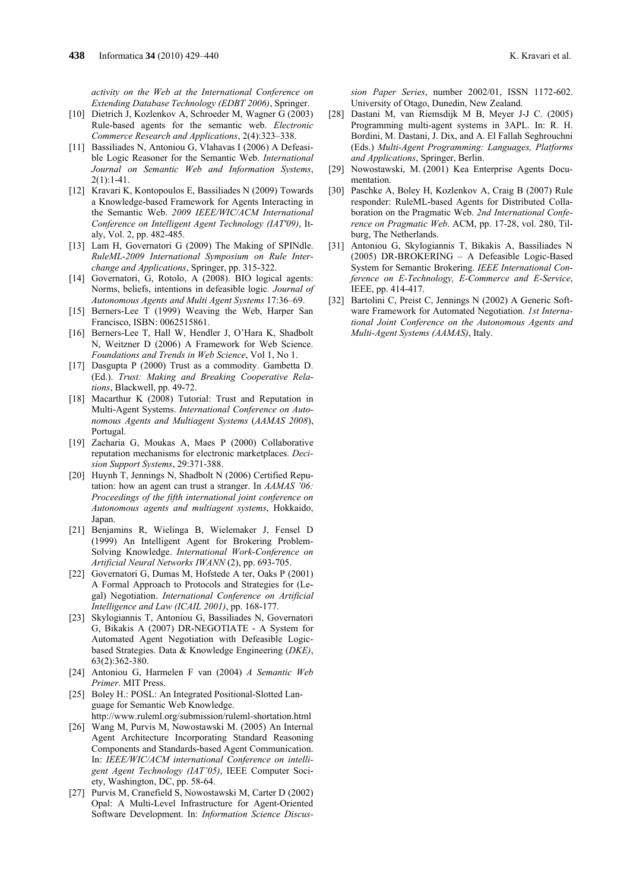*activity on the Web at the International Conference on Extending Database Technology (EDBT 2006)*, Springer.

- [10] Dietrich J, Kozlenkov A, Schroeder M, Wagner G (2003) Rule-based agents for the semantic web. *Electronic Commerce Research and Applications*, 2(4):323–338.
- [11] Bassiliades N, Antoniou G, Vlahavas I (2006) A Defeasible Logic Reasoner for the Semantic Web. *International Journal on Semantic Web and Information Systems*,  $2(1):1-41.$
- [12] Kravari K, Kontopoulos E, Bassiliades N (2009) Towards a Knowledge-based Framework for Agents Interacting in the Semantic Web. *2009 IEEE/WIC/ACM International Conference on Intelligent Agent Technology (IAT'09)*, Italy, Vol. 2, pp. 482-485.
- [13] Lam H, Governatori G (2009) The Making of SPINdle. *RuleML-2009 International Symposium on Rule Interchange and Applications*, Springer, pp. 315-322.
- [14] Governatori, G, Rotolo, A (2008). BIO logical agents: Norms, beliefs, intentions in defeasible logic*. Journal of Autonomous Agents and Multi Agent Systems* 17:36–69.
- [15] Berners-Lee T (1999) Weaving the Web, Harper San Francisco, ISBN: 0062515861.
- [16] Berners-Lee T, Hall W, Hendler J, O'Hara K, Shadbolt N, Weitzner D (2006) A Framework for Web Science. *Foundations and Trends in Web Science*, Vol 1, No 1.
- [17] Dasgupta P (2000) Trust as a commodity. Gambetta D. (Ed.). *Trust: Making and Breaking Cooperative Relations*, Blackwell, pp. 49-72.
- [18] Macarthur K (2008) Tutorial: Trust and Reputation in Multi-Agent Systems. *International Conference on Autonomous Agents and Multiagent Systems* (*AAMAS 2008*), Portugal.
- [19] Zacharia G, Moukas A, Maes P (2000) Collaborative reputation mechanisms for electronic marketplaces. *Decision Support Systems*, 29:371-388.
- [20] Huynh T, Jennings N, Shadbolt N (2006) Certified Reputation: how an agent can trust a stranger. In *AAMAS '06: Proceedings of the fifth international joint conference on Autonomous agents and multiagent systems*, Hokkaido, Japan.
- [21] Benjamins R, Wielinga B, Wielemaker J, Fensel D (1999) An Intelligent Agent for Brokering Problem-Solving Knowledge. *International Work-Conference on Artificial Neural Networks IWANN* (2), pp. 693-705.
- [22] Governatori G, Dumas M, Hofstede A ter, Oaks P (2001) A Formal Approach to Protocols and Strategies for (Legal) Negotiation. *International Conference on Artificial Intelligence and Law (ICAIL 2001)*, pp. 168-177.
- [23] Skylogiannis T, Antoniou G, Bassiliades N, Governatori G, Bikakis A (2007) DR-NEGOTIATE - A System for Automated Agent Negotiation with Defeasible Logicbased Strategies. Data & Knowledge Engineering (*DKE)*, 63(2):362-380.
- [24] Antoniou G, Harmelen F van (2004) *A Semantic Web Primer*. MIT Press.
- [25] Boley H.: POSL: An Integrated Positional-Slotted Language for Semantic Web Knowledge.
- http://www.ruleml.org/submission/ruleml-shortation.html [26] Wang M, Purvis M, Nowostawski M. (2005) An Internal Agent Architecture Incorporating Standard Reasoning Components and Standards-based Agent Communication. In: *IEEE/WIC/ACM international Conference on intelligent Agent Technology (IAT'05)*, IEEE Computer Society, Washington, DC, pp. 58-64.
- [27] Purvis M, Cranefield S, Nowostawski M, Carter D (2002) Opal: A Multi-Level Infrastructure for Agent-Oriented Software Development. In: *Information Science Discus-*

*sion Paper Series*, number 2002/01, ISSN 1172-602. University of Otago, Dunedin, New Zealand.

- [28] Dastani M, van Riemsdijk M B, Meyer J-J C. (2005) Programming multi-agent systems in 3APL. In: R. H. Bordini, M. Dastani, J. Dix, and A. El Fallah Seghrouchni (Eds.) *Multi-Agent Programming: Languages, Platforms and Applications*, Springer, Berlin.
- [29] Nowostawski, M. (2001) Kea Enterprise Agents Documentation.
- [30] Paschke A, Boley H, Kozlenkov A, Craig B (2007) Rule responder: RuleML-based Agents for Distributed Collaboration on the Pragmatic Web. *2nd International Conference on Pragmatic Web*. ACM, pp. 17-28, vol. 280, Tilburg, The Netherlands.
- [31] Antoniou G, Skylogiannis T, Bikakis A, Bassiliades N (2005) DR-BROKERING – A Defeasible Logic-Based System for Semantic Brokering. *IEEE International Conference on E-Technology, E-Commerce and E-Service*, IEEE, pp. 414-417.
- [32] Bartolini C, Preist C, Jennings N (2002) A Generic Software Framework for Automated Negotiation. *1st International Joint Conference on the Autonomous Agents and Multi-Agent Systems (AAMAS)*, Italy.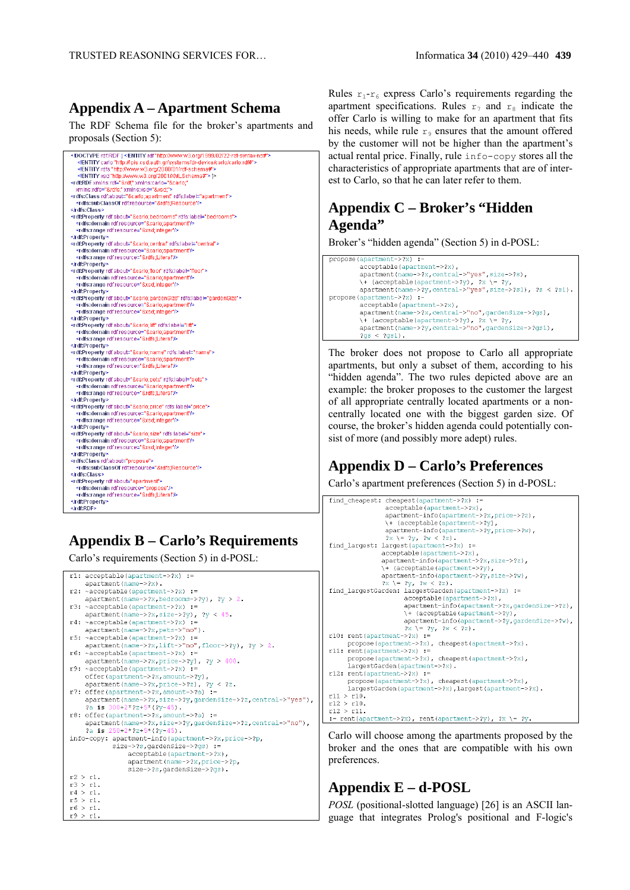## **Appendix A – Apartment Schema**

The RDF Schema file for the broker's apartments and proposals (Section 5):

| rdf:RDF [<!ENTITY rdf"http://www.w3.org/1999/02/22-rdf-syntax-ns#"                          |
|---------------------------------------------------------------------------------------------|
| ENTITY carlo "http://lpis.csd.auth.gr/systems/dr-device/carlo/carlo.rdf#"                   |
| ENTITY rdfs "http://www.w3.org/2000/01/rdf-schema#"                                         |
| ENTITY xsd "http://www.w3.org/2001/XMLSchema#"  >                                           |
| <rdf:rdf <="" td="" xminstcario="&amp;cario;" xminstrdf="&amp;rdf;"></rdf:rdf>              |
| xmins:rdfs="&rdfs" xmins:xsd="&xsd">                                                        |
| <rdfs:class rdf.about="&amp;carlo;apartment" rdfs:label="apartment"></rdfs:class>           |
| <rdfs:subclassof rdf:resource="&amp;rdfs:Resource"></rdfs:subclassof>                       |
|                                                                                             |
| <rdf:property rdf.about="&amp;carlo;bedrooms" rdfs:label="bedrooms"></rdf:property>         |
| <rdfs:domain.rdf.resource="&carlo:apartment"></rdfs:domain.rdf.resource="&carlo:apartment"> |
| <rdfs:range rdf:resource="&amp;xsd;integer"></rdfs:range>                                   |
|                                                                                             |
| <r df:property="" rdf.about="&amp;carlo;central" rdfs:label="central"></r>                  |
| <rdfs:domain rdf.resource="&amp;carlo;apartment"></rdfs:domain>                             |
| <rdfs:range rdf:resource="&amp;rdfs:Literal"></rdfs:range>                                  |
|                                                                                             |
| <r df:property="" rdf:about="&amp;carlo;floor" rdfs:label="floor"></r>                      |
| <rdfs:domain.rdf.resource="&carlo;apartment"></rdfs:domain.rdf.resource="&carlo;apartment"> |
| <rdfs:range rdf:resource="&amp;xsd;integer"></rdfs:range>                                   |
|                                                                                             |
| <rdf:property rdf:about="&amp;carlo:gardenSize" rdfs:label="gardenSize"></rdf:property>     |
| <rdfs:domain rdf:resource="&amp;carlo;apartment"></rdfs:domain>                             |
| <rdfs:range rdf:resource="&amp;xsd;integer"></rdfs:range>                                   |
|                                                                                             |
| <rdf:property rdf:about="&amp;carlo;lift" rdfs:label="lift"></rdf:property>                 |
| <rdfs:domain.rdf.resource="&carlo;apartment"></rdfs:domain.rdf.resource="&carlo;apartment"> |
| <rdfs:range rdf:resource="&amp;rdfs;Literal"></rdfs:range>                                  |
|                                                                                             |
| <rdf:property rdf:about="&amp;carlo;name" rdfs:label="name"></rdf:property>                 |
| <rdfs:domain rdf:resource="&amp;carlo;apartment"></rdfs:domain>                             |
| <rdfstrange rdf:resource="&amp;rdfs:Literal"></rdfstrange>                                  |
|                                                                                             |
| <rdf:property rdf.about="&amp;carlo:pets" rdfs:label="pets"></rdf:property>                 |
| <rdfs:domain.rdf.resource="&carlo;apartment"></rdfs:domain.rdf.resource="&carlo;apartment"> |
| <rdfs:range rdf:resource="&amp;rdfs;Literal"></rdfs:range>                                  |
|                                                                                             |
| <rdf:property rdf:about="&amp;carlo;price" rdfs:label="price"></rdf:property>               |
| <rdfs:domain.rdf.resource="&carlo:apartment"></rdfs:domain.rdf.resource="&carlo:apartment"> |
| <rdfstrange rdf.resource="&amp;xsd;integer"></rdfstrange>                                   |
|                                                                                             |
| <r df:property="" rdf:about="&amp;carlo;size" rdfs:label="size"></r>                        |
| <rdfs:domain.rdf.resource="&carlo;apartment"></rdfs:domain.rdf.resource="&carlo;apartment"> |
| <rdfs:range rdf:resource="&amp;xsd;integer"></rdfs:range>                                   |
|                                                                                             |
| <rdfs:class rdf.about="propose"></rdfs:class>                                               |
| <rdfs:subclassof rdf:resource="&amp;rdfs:Resource"></rdfs:subclassof>                       |
|                                                                                             |
| <rdf:property rdf:about="apartment"></rdf:property>                                         |
| <rdfs:domain rdf:resource="propose"></rdfs:domain>                                          |
| <rdfs:range rdf:resource="&amp;rdfs;Literal"></rdfs:range>                                  |
|                                                                                             |
|                                                                                             |

# **Appendix B – Carlo's Requirements**

Carlo's requirements (Section 5) in d-POSL:

```
r1: acceptable(apartment->?x) :=
    apartment (name->?x).
r2: ~acceptable (apartment->?x) :=
    apartment(name->?x, bedrooms->?y), ?y > 2.r3: \negacceptable(apartment->?x) :=
    apartment(name->2x, size->2y), 2y < 45.
r4: ~acceptable(apartment->?x)
    apartment(name->?x,pets->"no").
r5: ~acceptable(apartment->?x) :=
    apartment(name->?x, lift->"no", floor->?y), ?y > 2.r6: ~acceptable(apartment->?x) :=
    apartment(name->?x, price->?y), 2y > 400.r9: ~accentable(apartment->?x) :=
    offer(apartment->?x,amount->?y),
apartment(name->?x, price->?z), ?y < ?z.r7: offer(apartment->?x,amount->?a) :=
    apartment(name->?x, size->?y, gardenSize->?z, central->"yes"),
    2a is 300+2*2z+5*(2y-45).
r8: offer (apartment->?x, amount->?a) :=
    apartment(name->2x, size->2y, gardenSize->2z, central->"no"),<br>
2a is 250+2*2z+5*(2y-45).
info-copy: apartment-info(apartment->?x, price->?p,
           size->?s, gardenSize->?gs) :=
                acceptable(apartment->?x),
                apartment (name->?x, price->?p,
                size->?s, gardenSize->?gs).
r2 > r1.
r3 > r1.
r4 > r1.
r5 > r1.
r6 > r1.
r9 > r1.
```
Rules  $r_1-r_6$  express Carlo's requirements regarding the apartment specifications. Rules  $r_7$  and  $r_8$  indicate the offer Carlo is willing to make for an apartment that fits his needs, while rule  $r_9$  ensures that the amount offered by the customer will not be higher than the apartment's actual rental price. Finally, rule info-copy stores all the characteristics of appropriate apartments that are of interest to Carlo, so that he can later refer to them.

## **Appendix C – Broker's "Hidden Agenda"**

Broker's "hidden agenda" (Section 5) in d-POSL:

```
propose(apartment->?x) :
            acceptable(apartment->?x)
            apartment(name->?x,central->"ves",size->?s),
            \gamma (acceptable (apartment->?y), ?x \= ?y,<br>apartment (name->?y), ?x \= ?y,<br>apartment (name->?y, central->"yes", size->?s1), ?s < ?s1).
propose (apartment->?x) -
            acceptable(apartment->?x),<br>apartment(name->?x,central->"no",qardenSize->?qs),
              + (acceptable(apartment->?y), ?x
                                                               \gamma = 30^\circapartment(name \rightarrow ?y, central \rightarrow "no", gardenSize \rightarrow ?gs1),2a s < 2a s 1).
```
The broker does not propose to Carlo all appropriate apartments, but only a subset of them, according to his "hidden agenda". The two rules depicted above are an example: the broker proposes to the customer the largest of all appropriate centrally located apartments or a noncentrally located one with the biggest garden size. Of course, the broker's hidden agenda could potentially consist of more (and possibly more adept) rules.

# **Appendix D – Carlo's Preferences**

Carlo's apartment preferences (Section 5) in d-POSL:

```
find cheapest: cheapest(apartment->?x) :=
                 acceptable(apartment->?x).
                 apartment-info(apartment->?x,price->?z),<br>\+ (acceptable(apartment->?y),
                 apartment-info(apartment->?y, price->?w),
                 2x = 2y, 2w < 2z).
find largest: largest (apartment->?x)
               accentable (apartment->?x).
                apartment-info (apartment->?x, size->?z),
                \+ (acceptable(apartment->?v).
               apartment-info(apartment->?y, size->?w),
2x = 2y, 2w < 2z<br>
find_largestGarden: largestGarden (apartment->?x) :=
                      acceptable(apartment->?x),
                      apartment-info(apartment->?x,gardenSize->?z),
                      \+ (acceptable(apartment->?y),<br>apartment-info(apartment->?y,qardenSize->?w),
2X = 2y, 2W < 2z)<br>r10: rent (apartment->?x) :=
     propose(apartment->?x), cheapest(apartment->?x).
r11: rent (apartment->?x) :=
     propose(apartment->?x), cheapest(apartment->?x),
     largestGarden(apartment->?x).
r12: rent(apartment->?x) :=
      nronose (anartment->?x), cheanest (anartment->?x).
      .<br>largestGarden(apartment->?x),largest(apartment->?x).
r11 > r10.
r12 > r10.
r12 > r11.
:= rent(apartment->?x), rent(apartment->?y), ?x \= ?y.
```
Carlo will choose among the apartments proposed by the broker and the ones that are compatible with his own preferences.

## **Appendix E – d-POSL**

*POSL* (positional-slotted language) [26] is an ASCII language that integrates Prolog's positional and F-logic's